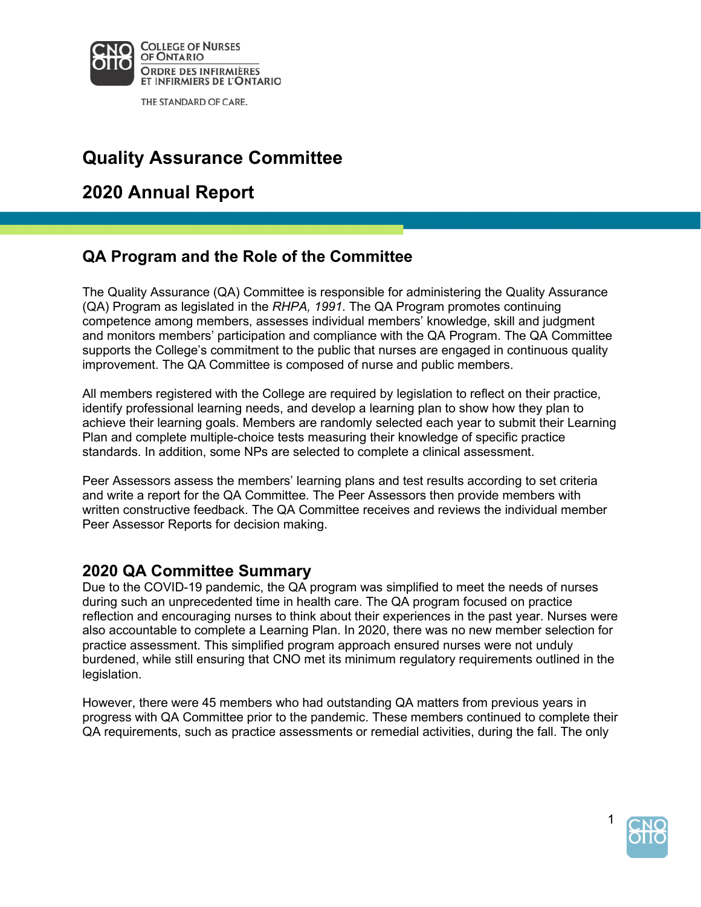

THE STANDARD OF CARE.

# **Quality Assurance Committee**

# **2020 Annual Report**

## **QA Program and the Role of the Committee**

 and monitors members' participation and compliance with the QA Program. The QA Committee supports the College's commitment to the public that nurses are engaged in continuous quality improvement. The QA Committee is composed of nurse and public members. The Quality Assurance (QA) Committee is responsible for administering the Quality Assurance (QA) Program as legislated in the *RHPA, 1991*. The QA Program promotes continuing competence among members, assesses individual members' knowledge, skill and judgment

 All members registered with the College are required by legislation to reflect on their practice, identify professional learning needs, and develop a learning plan to show how they plan to achieve their learning goals. Members are randomly selected each year to submit their Learning standards. In addition, some NPs are selected to complete a clinical assessment. Plan and complete multiple-choice tests measuring their knowledge of specific practice

 Peer Assessors assess the members' learning plans and test results according to set criteria written constructive feedback. The QA Committee receives and reviews the individual member and write a report for the QA Committee. The Peer Assessors then provide members with Peer Assessor Reports for decision making.

#### **2020 QA Committee Summary**

 Due to the COVID-19 pandemic, the QA program was simplified to meet the needs of nurses reflection and encouraging nurses to think about their experiences in the past year. Nurses were also accountable to complete a Learning Plan. In 2020, there was no new member selection for burdened, while still ensuring that CNO met its minimum regulatory requirements outlined in the during such an unprecedented time in health care. The QA program focused on practice practice assessment. This simplified program approach ensured nurses were not unduly legislation.

 However, there were 45 members who had outstanding QA matters from previous years in progress with QA Committee prior to the pandemic. These members continued to complete their QA requirements, such as practice assessments or remedial activities, during the fall. The only

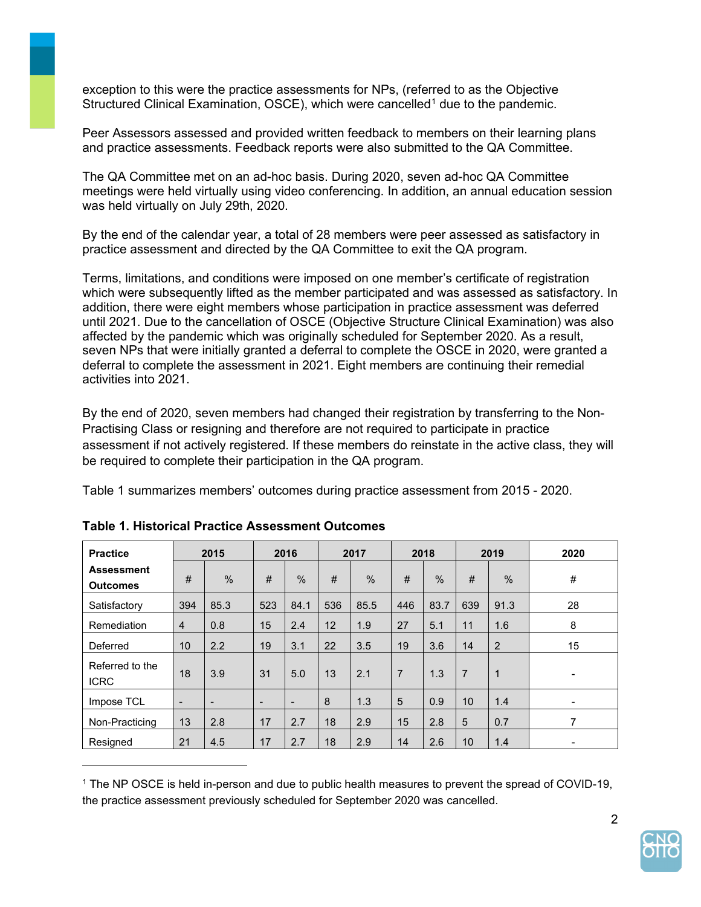exception to this were the practice assessments for NPs, (referred to as the Objective Structured Clinical Examination, OSCE), which were cancelled<sup>1</sup> due to the pandemic.

 Peer Assessors assessed and provided written feedback to members on their learning plans and practice assessments. Feedback reports were also submitted to the QA Committee.

 The QA Committee met on an ad-hoc basis. During 2020, seven ad-hoc QA Committee meetings were held virtually using video conferencing. In addition, an annual education session was held virtually on July 29th, 2020.

By the end of the calendar year, a total of 28 members were peer assessed as satisfactory in practice assessment and directed by the QA Committee to exit the QA program.

 addition, there were eight members whose participation in practice assessment was deferred deferral to complete the assessment in 2021. Eight members are continuing their remedial Terms, limitations, and conditions were imposed on one member's certificate of registration which were subsequently lifted as the member participated and was assessed as satisfactory. In until 2021. Due to the cancellation of OSCE (Objective Structure Clinical Examination) was also affected by the pandemic which was originally scheduled for September 2020. As a result, seven NPs that were initially granted a deferral to complete the OSCE in 2020, were granted a activities into 2021.

 By the end of 2020, seven members had changed their registration by transferring to the Non- assessment if not actively registered. If these members do reinstate in the active class, they will Practising Class or resigning and therefore are not required to participate in practice be required to complete their participation in the QA program.

Table 1 summarizes members' outcomes during practice assessment from 2015 - 2020.

| <b>Practice</b>                      |                          | 2015                     |                          | 2016                     |     | 2017 |                | 2018          |                | 2019          | 2020                     |
|--------------------------------------|--------------------------|--------------------------|--------------------------|--------------------------|-----|------|----------------|---------------|----------------|---------------|--------------------------|
| <b>Assessment</b><br><b>Outcomes</b> | #                        | $\frac{0}{0}$            | $\#$                     | $\frac{0}{0}$            | #   | $\%$ | #              | $\frac{0}{0}$ | #              | $\frac{0}{0}$ | $\#$                     |
| Satisfactory                         | 394                      | 85.3                     | 523                      | 84.1                     | 536 | 85.5 | 446            | 83.7          | 639            | 91.3          | 28                       |
| Remediation                          | $\overline{4}$           | 0.8                      | 15                       | 2.4                      | 12  | 1.9  | 27             | 5.1           | 11             | 1.6           | 8                        |
| Deferred                             | 10                       | 2.2                      | 19                       | 3.1                      | 22  | 3.5  | 19             | 3.6           | 14             | 2             | 15                       |
| Referred to the<br><b>ICRC</b>       | 18                       | 3.9                      | 31                       | 5.0                      | 13  | 2.1  | $\overline{7}$ | 1.3           | $\overline{7}$ | $\mathbf{1}$  | -                        |
| Impose TCL                           | $\overline{\phantom{a}}$ | $\overline{\phantom{a}}$ | $\overline{\phantom{0}}$ | $\overline{\phantom{a}}$ | 8   | 1.3  | 5              | 0.9           | 10             | 1.4           | $\overline{\phantom{a}}$ |
| Non-Practicing                       | 13                       | 2.8                      | 17                       | 2.7                      | 18  | 2.9  | 15             | 2.8           | 5              | 0.7           | 7                        |
| Resigned                             | 21                       | 4.5                      | 17                       | 2.7                      | 18  | 2.9  | 14             | 2.6           | 10             | 1.4           | $\blacksquare$           |

#### **Table 1. Historical Practice Assessment Outcomes**

 1 The NP OSCE is held in-person and due to public health measures to prevent the spread of COVID-19, the practice assessment previously scheduled for September 2020 was cancelled.

2